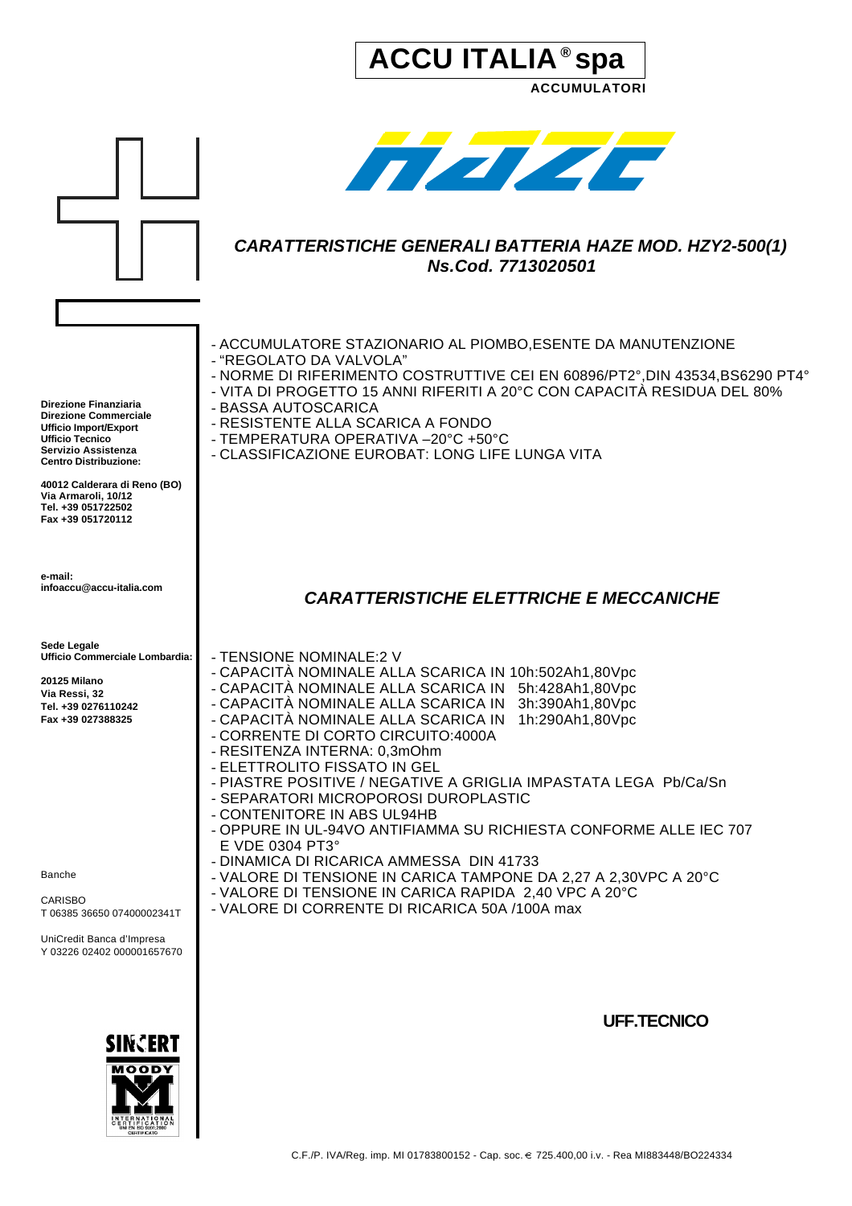